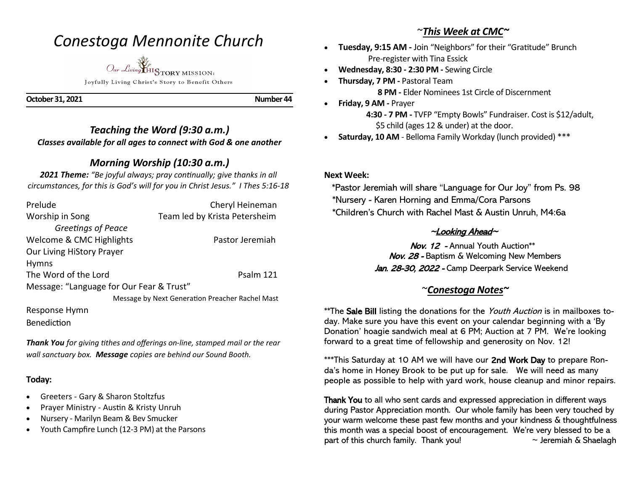# *Conestoga Mennonite Church*

*Our Living* HISTORY MISSION:

Joyfully Living Christ's Story to Benefit Others

**October 31, 2021** Number 44

### *Teaching the Word (9:30 a.m.) Classes available for all ages to connect with God & one another*

## *Morning Worship (10:30 a.m.)*

*2021 Theme: "Be joyful always; pray continually; give thanks in all circumstances, for this is God's will for you in Christ Jesus." I Thes 5:16-18*

| Prelude                                         | Cheryl Heineman               |
|-------------------------------------------------|-------------------------------|
| Worship in Song                                 | Team led by Krista Petersheim |
| Greetings of Peace                              |                               |
| Welcome & CMC Highlights                        | Pastor Jeremiah               |
| Our Living HiStory Prayer                       |                               |
| <b>Hymns</b>                                    |                               |
| The Word of the Lord                            | Psalm 121                     |
| Message: "Language for Our Fear & Trust"        |                               |
| Message by Next Generation Preacher Rachel Mast |                               |

Response Hymn

Benediction

*Thank You for giving tithes and offerings on-line, stamped mail or the rear wall sanctuary box. Message copies are behind our Sound Booth.*

#### **Today:**

- Greeters Gary & Sharon Stoltzfus
- Prayer Ministry Austin & Kristy Unruh
- Nursery Marilyn Beam & Bev Smucker
- Youth Campfire Lunch (12-3 PM) at the Parsons

## ~*This Week at CMC~*

- **Tuesday, 9:15 AM -** Join "Neighbors" for their "Gratitude" Brunch Pre-register with Tina Essick
- **Wednesday, 8:30 - 2:30 PM -** Sewing Circle
- **Thursday, 7 PM -** Pastoral Team  **8 PM -** Elder Nominees 1st Circle of Discernment
- **Friday, 9 AM -** Prayer

 **4:30 - 7 PM -** TVFP "Empty Bowls" Fundraiser. Cost is \$12/adult, \$5 child (ages 12 & under) at the door.

• **Saturday, 10 AM** - Belloma Family Workday (lunch provided) \*\*\*

#### **Next Week:**

 \*Pastor Jeremiah will share "Language for Our Joy" from Ps. 98 \*Nursery - Karen Horning and Emma/Cora Parsons \*Children's Church with Rachel Mast & Austin Unruh, M4:6a

### $\sim$ Looking Ahead $\sim$

 Nov. 12 - Annual Youth Auction\*\* Nov. 28 - Baptism & Welcoming New Members Jan. 28-30, 2022 - Camp Deerpark Service Weekend

## ~*Conestoga Notes~*

\*\*The Sale Bill listing the donations for the Youth Auction is in mailboxes today. Make sure you have this event on your calendar beginning with a 'By Donation' hoagie sandwich meal at 6 PM; Auction at 7 PM. We're looking forward to a great time of fellowship and generosity on Nov. 12!

\*\*\*This Saturday at 10 AM we will have our 2nd Work Day to prepare Ronda's home in Honey Brook to be put up for sale. We will need as many people as possible to help with yard work, house cleanup and minor repairs.

Thank You to all who sent cards and expressed appreciation in different ways during Pastor Appreciation month. Our whole family has been very touched by your warm welcome these past few months and your kindness & thoughtfulness this month was a special boost of encouragement. We're very blessed to be a part of this church family. Thank you!  $\sim$  Jeremiah & Shaelagh